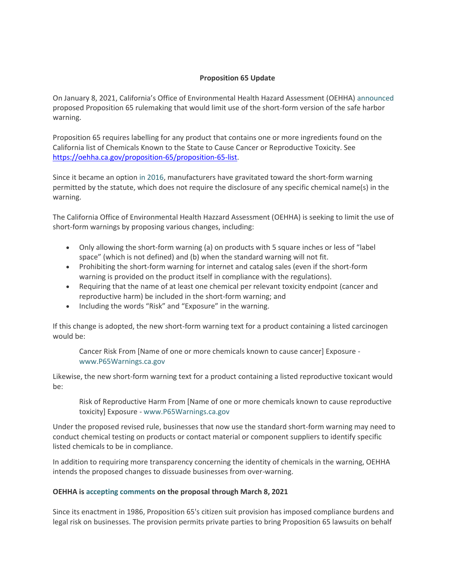## **Proposition 65 Update**

On January 8, 2021, California's Office of Environmental Health Hazard Assessment (OEHHA) [announced](https://oehha.ca.gov/proposition-65/crnr/notice-proposed-rulemaking-amendments-article-6-clear-and-reasonable-warnings-0) proposed Proposition 65 rulemaking that would limit use of the short-form version of the safe harbor warning.

Proposition 65 requires labelling for any product that contains one or more ingredients found on the California list of Chemicals Known to the State to Cause Cancer or Reproductive Toxicity. See [https://oehha.ca.gov/proposition-65/proposition-65-list.](https://oehha.ca.gov/proposition-65/proposition-65-list)

Since it became an option [in 2016,](https://www.khlaw.com/9500) manufacturers have gravitated toward the short-form warning permitted by the statute, which does not require the disclosure of any specific chemical name(s) in the warning.

The California Office of Environmental Health Hazzard Assessment (OEHHA) is seeking to limit the use of short-form warnings by proposing various changes, including:

- Only allowing the short-form warning (a) on products with 5 square inches or less of "label space" (which is not defined) and (b) when the standard warning will not fit.
- Prohibiting the short-form warning for internet and catalog sales (even if the short-form warning is provided on the product itself in compliance with the regulations).
- Requiring that the name of at least one chemical per relevant toxicity endpoint (cancer and reproductive harm) be included in the short-form warning; and
- Including the words "Risk" and "Exposure" in the warning.

If this change is adopted, the new short-form warning text for a product containing a listed carcinogen would be:

Cancer Risk From [Name of one or more chemicals known to cause cancer] Exposure [www.P65Warnings.ca.gov](http://www.p65warnings.ca.gov/)

Likewise, the new short-form warning text for a product containing a listed reproductive toxicant would be:

Risk of Reproductive Harm From [Name of one or more chemicals known to cause reproductive toxicity] Exposure - [www.P65Warnings.ca.gov](http://www.p65warnings.ca.gov/)

Under the proposed revised rule, businesses that now use the standard short-form warning may need to conduct chemical testing on products or contact material or component suppliers to identify specific listed chemicals to be in compliance.

In addition to requiring more transparency concerning the identity of chemicals in the warning, OEHHA intends the proposed changes to dissuade businesses from over-warning.

## **OEHHA i[s accepting comments](https://oehha.ca.gov/proposition-65/comments/comment-submissions-notice-proposed-rulemaking-amendments-article-6-clear) on the proposal through March 8, 2021**

Since its enactment in 1986, Proposition 65's citizen suit provision has imposed compliance burdens and legal risk on businesses. The provision permits private parties to bring Proposition 65 lawsuits on behalf